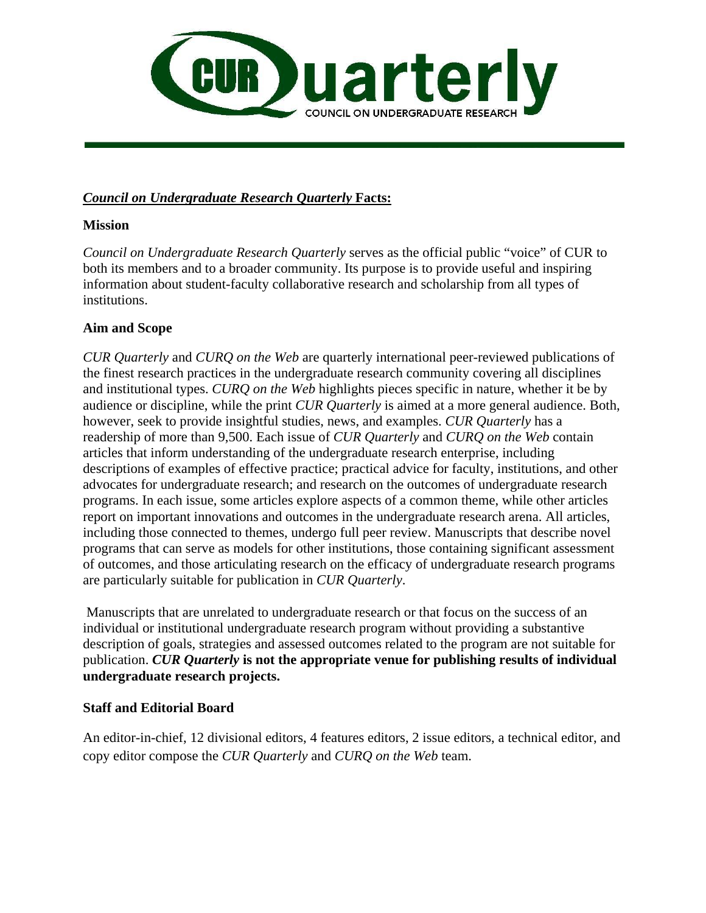

#### *Council on Undergraduate Research Quarterly* **Facts:**

#### **Mission**

*Council on Undergraduate Research Quarterly* serves as the official public "voice" of CUR to both its members and to a broader community. Its purpose is to provide useful and inspiring information about student-faculty collaborative research and scholarship from all types of institutions.

#### **Aim and Scope**

*CUR Quarterly* and *CURQ on the Web* are quarterly international peer-reviewed publications of the finest research practices in the undergraduate research community covering all disciplines and institutional types. *CURQ on the Web* highlights pieces specific in nature, whether it be by audience or discipline, while the print *CUR Quarterly* is aimed at a more general audience. Both, however, seek to provide insightful studies, news, and examples. *CUR Quarterly* has a readership of more than 9,500. Each issue of *CUR Quarterly* and *CURQ on the Web* contain articles that inform understanding of the undergraduate research enterprise, including descriptions of examples of effective practice; practical advice for faculty, institutions, and other advocates for undergraduate research; and research on the outcomes of undergraduate research programs. In each issue, some articles explore aspects of a common theme, while other articles report on important innovations and outcomes in the undergraduate research arena. All articles, including those connected to themes, undergo full peer review. Manuscripts that describe novel programs that can serve as models for other institutions, those containing significant assessment of outcomes, and those articulating research on the efficacy of undergraduate research programs are particularly suitable for publication in *CUR Quarterly*.

 Manuscripts that are unrelated to undergraduate research or that focus on the success of an individual or institutional undergraduate research program without providing a substantive description of goals, strategies and assessed outcomes related to the program are not suitable for publication. *CUR Quarterly* **is not the appropriate venue for publishing results of individual undergraduate research projects.**

# **Staff and Editorial Board**

An editor-in-chief, 12 divisional editors, 4 features editors, 2 issue editors, a technical editor, and copy editor compose the *CUR Quarterly* and *CURQ on the Web* team.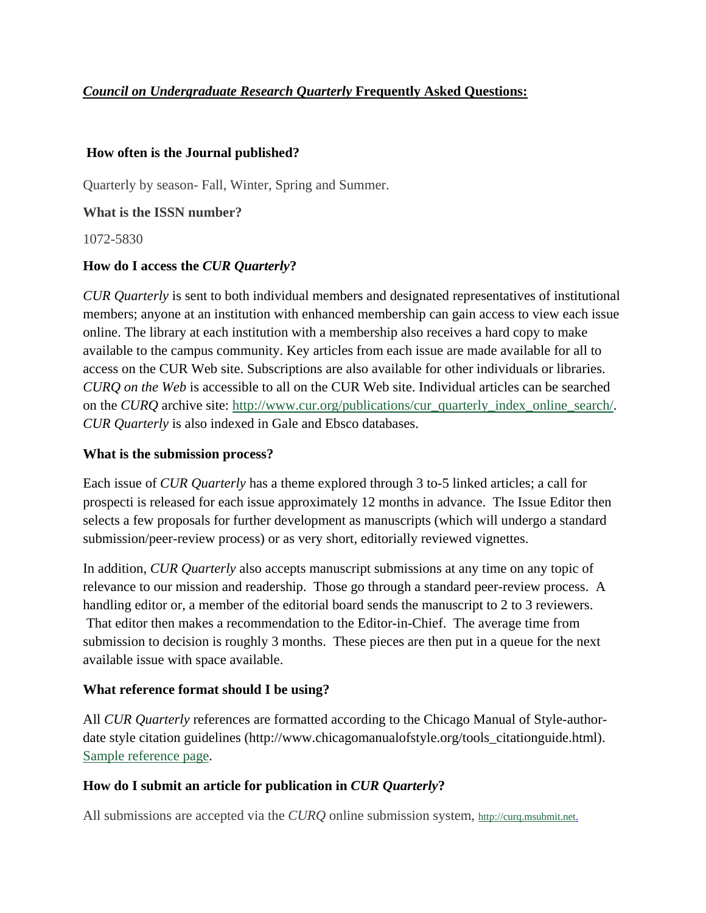# *Council on Undergraduate Research Quarterly* **Frequently Asked Questions:**

#### **How often is the Journal published?**

Quarterly by season- Fall, Winter, Spring and Summer.

#### **What is the ISSN number?**

1072-5830

# **How do I access the** *CUR Quarterly***?**

*CUR Quarterly* is sent to both individual members and designated representatives of institutional members; anyone at an institution with enhanced membership can gain access to view each issue online. The library at each institution with a membership also receives a hard copy to make available to the campus community. Key articles from each issue are made available for all to access on the CUR Web site. Subscriptions are also available for other individuals or libraries. *CURQ on the Web* is accessible to all on the CUR Web site. Individual articles can be searched on the *CURQ* archive site: http://www.cur.org/publications/cur\_quarterly\_index\_online\_search/. *CUR Quarterly* is also indexed in Gale and Ebsco databases.

# **What is the submission process?**

Each issue of *CUR Quarterly* has a theme explored through 3 to-5 linked articles; a call for prospecti is released for each issue approximately 12 months in advance. The Issue Editor then selects a few proposals for further development as manuscripts (which will undergo a standard submission/peer-review process) or as very short, editorially reviewed vignettes.

In addition, *CUR Quarterly* also accepts manuscript submissions at any time on any topic of relevance to our mission and readership. Those go through a standard peer-review process. A handling editor or, a member of the editorial board sends the manuscript to 2 to 3 reviewers. That editor then makes a recommendation to the Editor-in-Chief. The average time from submission to decision is roughly 3 months. These pieces are then put in a queue for the next available issue with space available.

# **What reference format should I be using?**

All *CUR Quarterly* references are formatted according to the Chicago Manual of Style-authordate style citation guidelines (http://www.chicagomanualofstyle.org/tools\_citationguide.html). Sample reference page.

# **How do I submit an article for publication in** *CUR Quarterly***?**

All submissions are accepted via the *CURQ* online submission system, http://curq.msubmit.net.